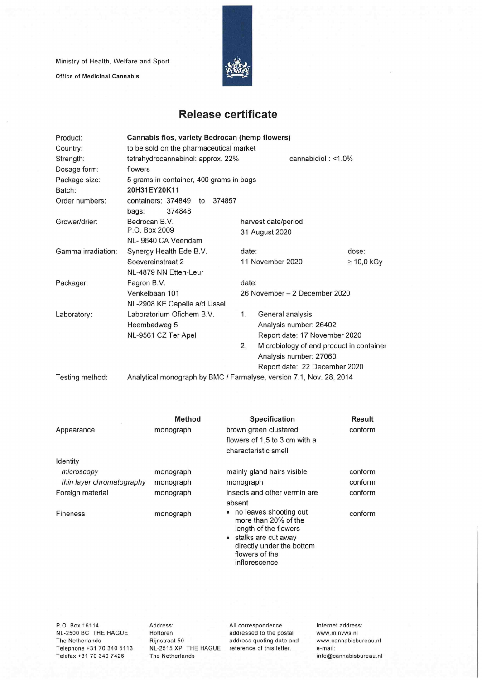Ministry of Health, Welfare and Sport

Office of Medicinal Cannabis



## **Release certificate**

| Product:           | Cannabis flos, variety Bedrocan (hemp flowers)                      |                               |                                          |                 |  |  |  |
|--------------------|---------------------------------------------------------------------|-------------------------------|------------------------------------------|-----------------|--|--|--|
| Country:           | to be sold on the pharmaceutical market                             |                               |                                          |                 |  |  |  |
| Strength:          | tetrahydrocannabinol: approx. 22%                                   |                               | cannabidiol: $<$ 1.0%                    |                 |  |  |  |
| Dosage form:       | flowers                                                             |                               |                                          |                 |  |  |  |
| Package size:      | 5 grams in container, 400 grams in bags                             |                               |                                          |                 |  |  |  |
| Batch:             | 20H31EY20K11                                                        |                               |                                          |                 |  |  |  |
| Order numbers:     | containers: 374849<br>374857<br>to                                  |                               |                                          |                 |  |  |  |
|                    | 374848<br>bags:                                                     |                               |                                          |                 |  |  |  |
| Grower/drier:      | Bedrocan B.V.                                                       | harvest date/period:          |                                          |                 |  |  |  |
|                    | P.O. Box 2009                                                       |                               | 31 August 2020                           |                 |  |  |  |
|                    | NL-9640 CA Veendam                                                  |                               |                                          |                 |  |  |  |
| Gamma irradiation: | Synergy Health Ede B.V.                                             | date:                         |                                          | dose:           |  |  |  |
|                    | Soevereinstraat 2                                                   |                               | 11 November 2020                         | $\geq 10,0$ kGy |  |  |  |
|                    | NL-4879 NN Etten-Leur                                               |                               |                                          |                 |  |  |  |
| Packager:          | Fagron B.V.                                                         |                               | date:                                    |                 |  |  |  |
|                    | Venkelbaan 101                                                      | 26 November - 2 December 2020 |                                          |                 |  |  |  |
|                    | NL-2908 KE Capelle a/d IJssel                                       |                               |                                          |                 |  |  |  |
| Laboratory:        | Laboratorium Ofichem B.V.                                           | 1.                            | General analysis                         |                 |  |  |  |
|                    | Heembadweg 5                                                        |                               | Analysis number: 26402                   |                 |  |  |  |
|                    | NL-9561 CZ Ter Apel                                                 |                               | Report date: 17 November 2020            |                 |  |  |  |
|                    |                                                                     | 2.                            | Microbiology of end product in container |                 |  |  |  |
|                    |                                                                     |                               | Analysis number: 27060                   |                 |  |  |  |
|                    |                                                                     |                               | Report date: 22 December 2020            |                 |  |  |  |
| Testing method:    | Analytical monograph by BMC / Farmalyse, version 7.1, Nov. 28, 2014 |                               |                                          |                 |  |  |  |

|                           | <b>Method</b> | <b>Specification</b>                                                                                                                                             | <b>Result</b> |
|---------------------------|---------------|------------------------------------------------------------------------------------------------------------------------------------------------------------------|---------------|
| Appearance                | monograph     | brown green clustered                                                                                                                                            | conform       |
|                           |               | flowers of 1,5 to 3 cm with a                                                                                                                                    |               |
|                           |               | characteristic smell                                                                                                                                             |               |
| Identity                  |               |                                                                                                                                                                  |               |
| microscopy                | monograph     | mainly gland hairs visible                                                                                                                                       | conform       |
| thin layer chromatography | monograph     | monograph                                                                                                                                                        | conform       |
| Foreign material          | monograph     | insects and other vermin are                                                                                                                                     | conform       |
|                           |               | absent                                                                                                                                                           |               |
| Fineness                  | monograph     | • no leaves shooting out<br>more than 20% of the<br>length of the flowers<br>stalks are cut away<br>directly under the bottom<br>flowers of the<br>inflorescence | conform       |

P.O. Box 16114 NL-2500 BC THE HAGUE The Netherlands Telephone +31 70 340 5113 Telefax +31 70 340 7426

Address: Hoftoren Rijnstraat 50 NL-2515 XP THE HAGUE reference of this letter. The Netherlands

All correspondence addressed to the postai address quoting date and Internet address: www.minvws.nl www.cannabisbureau.n1 e-mail: info@cannabisbureau.n1